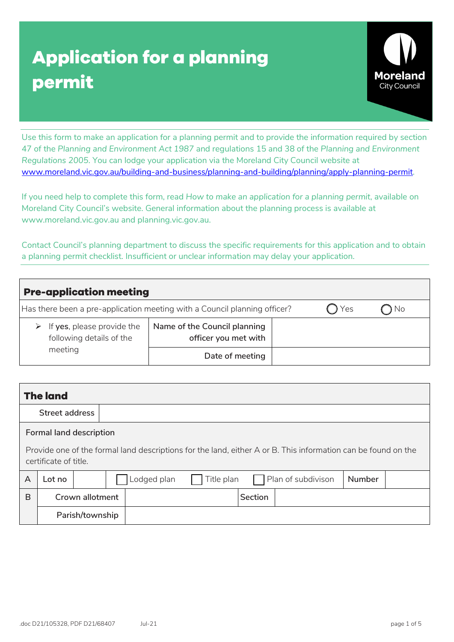# **Application for a planning permit**



Use this form to make an application for a planning permit and to provide the information required by section 47 of the *Planning and Environment Act 1987* and regulations 15 and 38 of the *Planning and Environment Regulations 2005*. You can lodge your application via the Moreland City Council website at [www.moreland.vic.gov.au/building-and-business/planning-and-building/planning/apply-planning-permit.](https://www.moreland.vic.gov.au/building-and-business/planning-and-building/planning/apply-planning-permit/)

If you need help to complete this form, read *How to make an application for a planning permit*, available on Moreland City Council's website. General information about the planning process is available at www.moreland.vic.gov.au and planning.vic.gov.au.

Contact Council's planning department to discuss the specific requirements for this application and to obtain a planning permit checklist. Insufficient or unclear information may delay your application.

| <b>Pre-application meeting</b>                                            |                                                      |  |           |  |  |  |
|---------------------------------------------------------------------------|------------------------------------------------------|--|-----------|--|--|--|
| Has there been a pre-application meeting with a Council planning officer? |                                                      |  | No<br>Yes |  |  |  |
| $\triangleright$ If yes, please provide the<br>following details of the   | Name of the Council planning<br>officer you met with |  |           |  |  |  |
| meeting                                                                   | Date of meeting                                      |  |           |  |  |  |

|                                                                                                                                        | <b>The land</b>         |                 |  |             |            |         |                    |               |  |
|----------------------------------------------------------------------------------------------------------------------------------------|-------------------------|-----------------|--|-------------|------------|---------|--------------------|---------------|--|
|                                                                                                                                        | Street address          |                 |  |             |            |         |                    |               |  |
|                                                                                                                                        | Formal land description |                 |  |             |            |         |                    |               |  |
| Provide one of the formal land descriptions for the land, either A or B. This information can be found on the<br>certificate of title. |                         |                 |  |             |            |         |                    |               |  |
| A                                                                                                                                      | Lot no                  |                 |  | Lodged plan | Title plan |         | Plan of subdivison | <b>Number</b> |  |
| B                                                                                                                                      |                         | Crown allotment |  |             |            | Section |                    |               |  |
|                                                                                                                                        |                         | Parish/township |  |             |            |         |                    |               |  |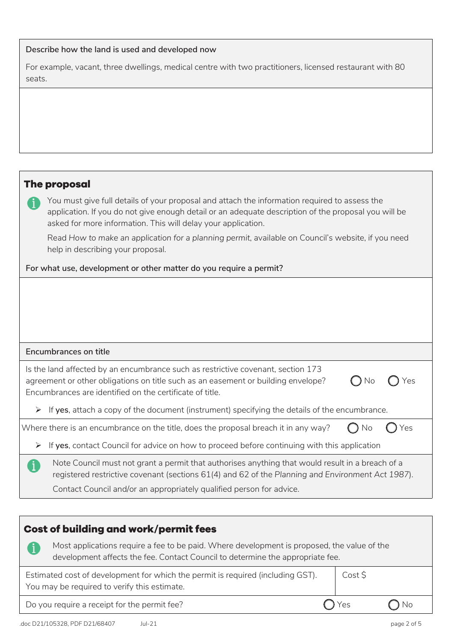#### **Describe how the land is used and developed now**

For example, vacant, three dwellings, medical centre with two practitioners, licensed restaurant with 80 seats.

## **The proposal**

You must give full details of your proposal and attach the information required to assess the application. If you do not give enough detail or an adequate description of the proposal you will be asked for more information. This will delay your application.

Read *How to make an application for a planning permit*, available on Council's website, if you need help in describing your proposal.

#### **For what use, development or other matter do you require a permit?**

| <b>Encumbrances on title</b> |  |
|------------------------------|--|
|------------------------------|--|

| Is the land affected by an encumbrance such as restrictive covenant, section 173  |                            |  |
|-----------------------------------------------------------------------------------|----------------------------|--|
| agreement or other obligations on title such as an easement or building envelope? | $\bigcap$ No $\bigcap$ Yes |  |
| Encumbrances are identified on the certificate of title.                          |                            |  |

If **yes**, attach a copy of the document (instrument) specifying the details of the encumbrance.

| Where there is an encumbrance on the title, does the proposal breach it in any way? $\quad$ $\bigcap$ No $\quad$ $\bigcap$ Yes |  |
|--------------------------------------------------------------------------------------------------------------------------------|--|
|                                                                                                                                |  |

- If **yes**, contact Council for advice on how to proceed before continuing with this application
	- Note Council must not grant a permit that authorises anything that would result in a breach of a registered restrictive covenant (sections 61(4) and 62 of the *Planning and Environment Act 1987*).

Contact Council and/or an appropriately qualified person for advice.

| <b>Cost of building and work/permit fees</b>                                                                                                                                  |           |  |  |  |  |
|-------------------------------------------------------------------------------------------------------------------------------------------------------------------------------|-----------|--|--|--|--|
| Most applications require a fee to be paid. Where development is proposed, the value of the<br>development affects the fee. Contact Council to determine the appropriate fee. |           |  |  |  |  |
| Estimated cost of development for which the permit is required (including GST).<br>You may be required to verify this estimate.                                               | Cost \$   |  |  |  |  |
| Do you require a receipt for the permit fee?                                                                                                                                  | Yes<br>Νo |  |  |  |  |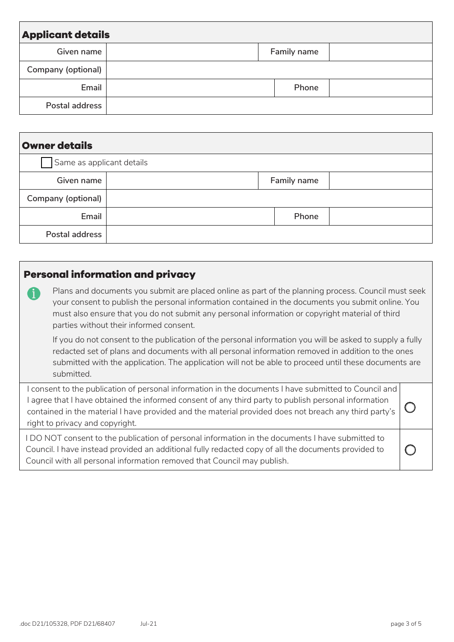| <b>Applicant details</b> |  |  |             |  |  |
|--------------------------|--|--|-------------|--|--|
| Given name               |  |  | Family name |  |  |
| Company (optional)       |  |  |             |  |  |
| Email                    |  |  | Phone       |  |  |
| Postal address           |  |  |             |  |  |

| <b>Owner details</b>      |  |             |  |  |
|---------------------------|--|-------------|--|--|
| Same as applicant details |  |             |  |  |
| Given name                |  | Family name |  |  |
| Company (optional)        |  |             |  |  |
| Email                     |  | Phone       |  |  |
| Postal address            |  |             |  |  |

## **Personal information and privacy**

Plans and documents you submit are placed online as part of the planning process. Council must seek your consent to publish the personal information contained in the documents you submit online. You must also ensure that you do not submit any personal information or copyright material of third parties without their informed consent.

If you do not consent to the publication of the personal information you will be asked to supply a fully redacted set of plans and documents with all personal information removed in addition to the ones submitted with the application. The application will not be able to proceed until these documents are submitted.

I consent to the publication of personal information in the documents I have submitted to Council and I agree that I have obtained the informed consent of any third party to publish personal information contained in the material I have provided and the material provided does not breach any third party's right to privacy and copyright.  $\bigcirc$ 

I DO NOT consent to the publication of personal information in the documents I have submitted to Council. I have instead provided an additional fully redacted copy of all the documents provided to Council with all personal information removed that Council may publish.

 $\bigcirc$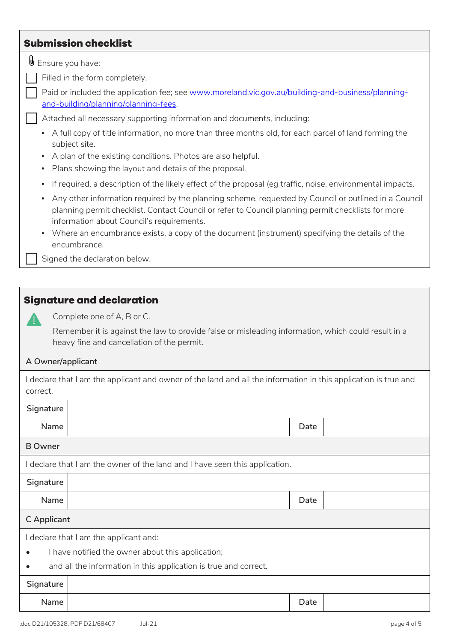## **Submission checklist**

 $\mathbb \mathbb \Theta$  Ensure you have:

Filled in the form completely.

Paid or included the application fee; see [www.moreland.vic.gov.au/building-and-business/planning](https://www.moreland.vic.gov.au/building-and-business/planning-and-building/planning/planning-fees/)[and-building/planning/planning-fees.](https://www.moreland.vic.gov.au/building-and-business/planning-and-building/planning/planning-fees/)

#### ☐ Attached all necessary supporting information and documents, including:

- A full copy of title information, no more than three months old, for each parcel of land forming the subject site.
- A plan of the existing conditions. Photos are also helpful.
- Plans showing the layout and details of the proposal.
- If required, a description of the likely effect of the proposal (eg traffic, noise, environmental impacts.
- Any other information required by the planning scheme, requested by Council or outlined in a Council planning permit checklist. Contact Council or refer to Council planning permit checklists for more information about Council's requirements.
- Where an encumbrance exists, a copy of the document (instrument) specifying the details of the encumbrance.

Signed the declaration below.

### **Signature and declaration**



Complete one of A, B or C.

Remember it is against the law to provide false or misleading information, which could result in a heavy fine and cancellation of the permit.

#### **A Owner/applicant**

| I declare that I am the applicant and owner of the land and all the information in this application is true and |  |  |
|-----------------------------------------------------------------------------------------------------------------|--|--|
| correct.                                                                                                        |  |  |

| Signature      |                                                                             |      |  |  |  |
|----------------|-----------------------------------------------------------------------------|------|--|--|--|
| Name           |                                                                             | Date |  |  |  |
| <b>B</b> Owner |                                                                             |      |  |  |  |
|                | I declare that I am the owner of the land and I have seen this application. |      |  |  |  |
| Signature      |                                                                             |      |  |  |  |
| Name           |                                                                             | Date |  |  |  |
| C Applicant    |                                                                             |      |  |  |  |
|                | I declare that I am the applicant and:                                      |      |  |  |  |
| $\bullet$      | I have notified the owner about this application;                           |      |  |  |  |
|                | and all the information in this application is true and correct.            |      |  |  |  |
| Signature      |                                                                             |      |  |  |  |
| Name           |                                                                             | Date |  |  |  |